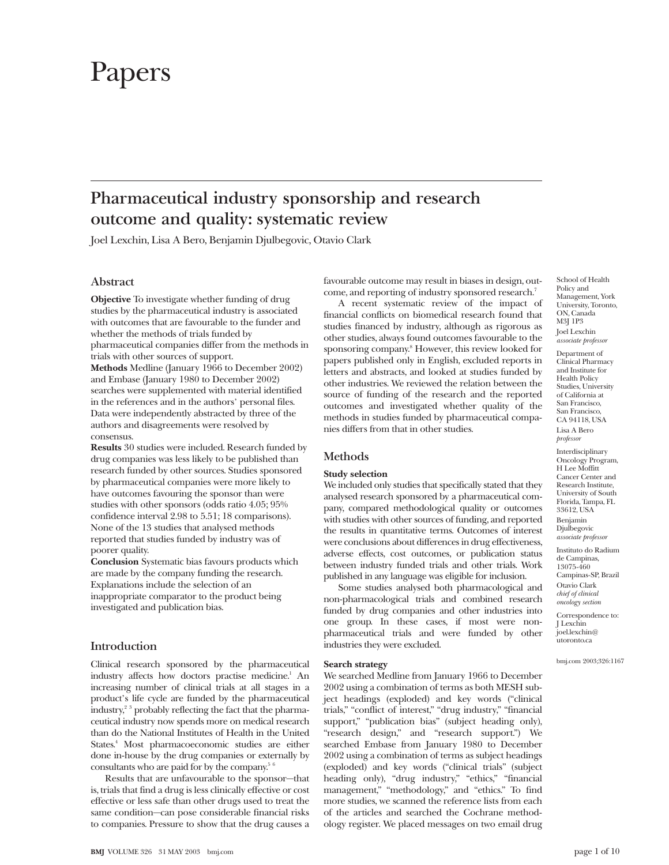# Papers

# **Pharmaceutical industry sponsorship and research outcome and quality: systematic review**

Joel Lexchin, Lisa A Bero, Benjamin Djulbegovic, Otavio Clark

# **Abstract**

**Objective** To investigate whether funding of drug studies by the pharmaceutical industry is associated with outcomes that are favourable to the funder and whether the methods of trials funded by pharmaceutical companies differ from the methods in

trials with other sources of support. **Methods** Medline (January 1966 to December 2002) and Embase (January 1980 to December 2002) searches were supplemented with material identified in the references and in the authors' personal files. Data were independently abstracted by three of the authors and disagreements were resolved by consensus.

**Results** 30 studies were included. Research funded by drug companies was less likely to be published than research funded by other sources. Studies sponsored by pharmaceutical companies were more likely to have outcomes favouring the sponsor than were studies with other sponsors (odds ratio 4.05; 95% confidence interval 2.98 to 5.51; 18 comparisons). None of the 13 studies that analysed methods reported that studies funded by industry was of poorer quality.

**Conclusion** Systematic bias favours products which are made by the company funding the research. Explanations include the selection of an inappropriate comparator to the product being investigated and publication bias.

# **Introduction**

Clinical research sponsored by the pharmaceutical industry affects how doctors practise medicine.<sup>1</sup> An increasing number of clinical trials at all stages in a product's life cycle are funded by the pharmaceutical industry,2 3 probably reflecting the fact that the pharmaceutical industry now spends more on medical research than do the National Institutes of Health in the United States.<sup>4</sup> Most pharmacoeconomic studies are either done in-house by the drug companies or externally by consultants who are paid for by the company.<sup>5</sup>

Results that are unfavourable to the sponsor—that is, trials that find a drug is less clinically effective or cost effective or less safe than other drugs used to treat the same condition—can pose considerable financial risks to companies. Pressure to show that the drug causes a

**BMJ** VOLUME 326 31 MAY 2003 bmj.com page 1 of 10

favourable outcome may result in biases in design, outcome, and reporting of industry sponsored research.7

A recent systematic review of the impact of financial conflicts on biomedical research found that studies financed by industry, although as rigorous as other studies, always found outcomes favourable to the sponsoring company.8 However, this review looked for papers published only in English, excluded reports in letters and abstracts, and looked at studies funded by other industries. We reviewed the relation between the source of funding of the research and the reported outcomes and investigated whether quality of the methods in studies funded by pharmaceutical companies differs from that in other studies.

# **Methods**

#### **Study selection**

We included only studies that specifically stated that they analysed research sponsored by a pharmaceutical company, compared methodological quality or outcomes with studies with other sources of funding, and reported the results in quantitative terms. Outcomes of interest were conclusions about differences in drug effectiveness, adverse effects, cost outcomes, or publication status between industry funded trials and other trials. Work published in any language was eligible for inclusion.

Some studies analysed both pharmacological and non-pharmacological trials and combined research funded by drug companies and other industries into one group. In these cases, if most were nonpharmaceutical trials and were funded by other industries they were excluded.

#### **Search strategy**

We searched Medline from January 1966 to December 2002 using a combination of terms as both MESH subject headings (exploded) and key words ("clinical trials," "conflict of interest," "drug industry," "financial support," "publication bias" (subject heading only), "research design," and "research support.") We searched Embase from January 1980 to December 2002 using a combination of terms as subject headings (exploded) and key words ("clinical trials" (subject heading only), "drug industry," "ethics," "financial management," "methodology," and "ethics." To find more studies, we scanned the reference lists from each of the articles and searched the Cochrane methodology register. We placed messages on two email drug

School of Health Policy and Management, York University, Toronto, ON, Canada M3J 1P3 Joel Lexchin *associate professor*

Department of Clinical Pharmacy and Institute for Health Policy Studies, University of California at San Francisco, San Francisco, CA 94118, USA Lisa A Bero *professor*

Interdisciplinary Oncology Program, H Lee Moffitt Cancer Center and Research Institute, University of South Florida, Tampa, FL 33612, USA Benjamin Diulbegovic *associate professor*

Instituto do Radium de Campinas, 13075-460 Campinas-SP, Brazil Otavio Clark *chief of clinical oncology section* Correspondence to:

J Lexchin joel.lexchin@ utoronto.ca

bmj.com 2003;326:1167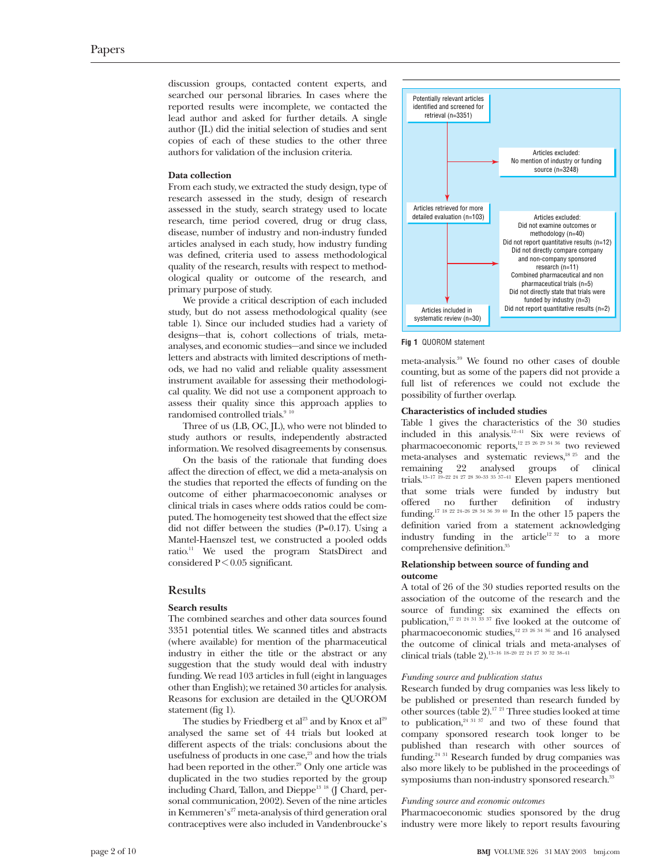discussion groups, contacted content experts, and searched our personal libraries. In cases where the reported results were incomplete, we contacted the lead author and asked for further details. A single author (JL) did the initial selection of studies and sent copies of each of these studies to the other three authors for validation of the inclusion criteria.

# **Data collection**

From each study, we extracted the study design, type of research assessed in the study, design of research assessed in the study, search strategy used to locate research, time period covered, drug or drug class, disease, number of industry and non-industry funded articles analysed in each study, how industry funding was defined, criteria used to assess methodological quality of the research, results with respect to methodological quality or outcome of the research, and primary purpose of study.

We provide a critical description of each included study, but do not assess methodological quality (see table 1). Since our included studies had a variety of designs—that is, cohort collections of trials, metaanalyses, and economic studies—and since we included letters and abstracts with limited descriptions of methods, we had no valid and reliable quality assessment instrument available for assessing their methodological quality. We did not use a component approach to assess their quality since this approach applies to randomised controlled trials.<sup>9</sup> <sup>10</sup>

Three of us (LB, OC, JL), who were not blinded to study authors or results, independently abstracted information. We resolved disagreements by consensus.

On the basis of the rationale that funding does affect the direction of effect, we did a meta-analysis on the studies that reported the effects of funding on the outcome of either pharmacoeconomic analyses or clinical trials in cases where odds ratios could be computed. The homogeneity test showed that the effect size did not differ between the studies  $(P=0.17)$ . Using a Mantel-Haenszel test, we constructed a pooled odds ratio.11 We used the program StatsDirect and considered P < 0.05 significant.

#### **Results**

#### **Search results**

The combined searches and other data sources found 3351 potential titles. We scanned titles and abstracts (where available) for mention of the pharmaceutical industry in either the title or the abstract or any suggestion that the study would deal with industry funding. We read 103 articles in full (eight in languages other than English); we retained 30 articles for analysis. Reasons for exclusion are detailed in the QUOROM statement (fig 1).

The studies by Friedberg et al<sup>23</sup> and by Knox et al<sup>29</sup> analysed the same set of 44 trials but looked at different aspects of the trials: conclusions about the usefulness of products in one case, $2<sup>3</sup>$  and how the trials had been reported in the other.<sup>29</sup> Only one article was duplicated in the two studies reported by the group including Chard, Tallon, and Dieppe<sup>13 18</sup> (J Chard, personal communication, 2002). Seven of the nine articles in Kemmeren's <sup>27</sup> meta-analysis of third generation oral contraceptives were also included in Vandenbroucke's



**Fig 1** QUOROM statement

meta-analysis.39 We found no other cases of double counting, but as some of the papers did not provide a full list of references we could not exclude the possibility of further overlap.

#### **Characteristics of included studies**

Table 1 gives the characteristics of the 30 studies included in this analysis. $12-41$  Six were reviews of pharmacoeconomic reports,12 23 26 29 34 36 two reviewed meta-analyses and systematic reviews,<sup>18 25</sup> and the remaining 22 analysed groups of clinical trials.<sup>13–17</sup> <sup>19–22</sup> <sup>24</sup> <sup>27</sup> <sup>28</sup> <sup>30–33</sup> <sup>35</sup><sup>37–41</sup> Eleven papers mentioned that some trials were funded by industry but offered no further definition of industry funding.17 18 22 24–26 28 34 36 39 40 In the other 15 papers the definition varied from a statement acknowledging industry funding in the article<sup>12 32</sup> to a more comprehensive definition.<sup>35</sup>

### **Relationship between source of funding and**

#### **outcome**

A total of 26 of the 30 studies reported results on the association of the outcome of the research and the source of funding: six examined the effects on publication,<sup>17 21 24 31</sub> 33 37 five looked at the outcome of</sup> pharmacoeconomic studies,12 23 26 34 36 and 16 analysed the outcome of clinical trials and meta-analyses of clinical trials (table 2).13–16 18–20 22 24 27 30 32 38–41

#### *Funding source and publication status*

Research funded by drug companies was less likely to be published or presented than research funded by other sources (table  $2$ ).<sup>17-21</sup> Three studies looked at time to publication, $24 \times 31 \times 37$  and two of these found that company sponsored research took longer to be published than research with other sources of funding.24 31 Research funded by drug companies was also more likely to be published in the proceedings of symposiums than non-industry sponsored research.<sup>33</sup>

#### *Funding source and economic outcomes*

Pharmacoeconomic studies sponsored by the drug industry were more likely to report results favouring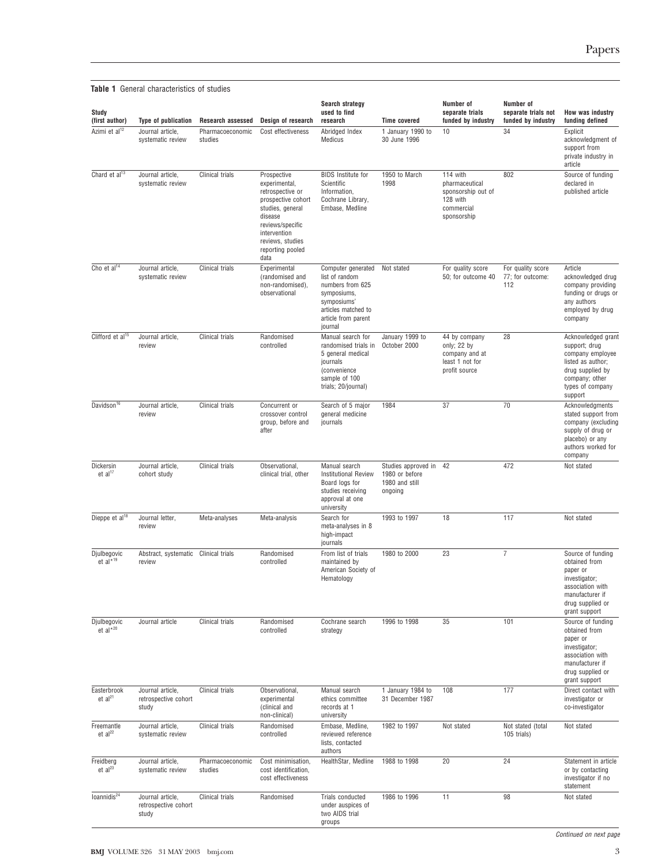| Study<br>(first author)                | <b>Type of publication</b>                        | <b>Research assessed</b>    | Design of research                                                                                                                                                                        | Search strategy<br>used to find<br>research                                                                                                     | <b>Time covered</b>                                                | Number of<br>separate trials<br>funded by industry                                        | Number of<br>separate trials not<br>funded by industry | How was industry<br>funding defined                                                                                                               |
|----------------------------------------|---------------------------------------------------|-----------------------------|-------------------------------------------------------------------------------------------------------------------------------------------------------------------------------------------|-------------------------------------------------------------------------------------------------------------------------------------------------|--------------------------------------------------------------------|-------------------------------------------------------------------------------------------|--------------------------------------------------------|---------------------------------------------------------------------------------------------------------------------------------------------------|
| Azimi et al <sup>12</sup>              | Journal article.<br>systematic review             | Pharmacoeconomic<br>studies | Cost effectiveness                                                                                                                                                                        | Abridged Index<br>Medicus                                                                                                                       | 1 January 1990 to<br>30 June 1996                                  | 10                                                                                        | 34                                                     | Explicit<br>acknowledgment of<br>support from<br>private industry in<br>article                                                                   |
| Chard et al <sup>13</sup>              | Journal article,<br>systematic review             | Clinical trials             | Prospective<br>experimental,<br>retrospective or<br>prospective cohort<br>studies, general<br>disease<br>reviews/specific<br>intervention<br>reviews, studies<br>reporting pooled<br>data | <b>BIDS</b> Institute for<br>Scientific<br>Information,<br>Cochrane Library,<br>Embase, Medline                                                 | 1950 to March<br>1998                                              | 114 with<br>pharmaceutical<br>sponsorship out of<br>128 with<br>commercial<br>sponsorship | 802                                                    | Source of funding<br>declared in<br>published article                                                                                             |
| Cho et al <sup>14</sup>                | Journal article,<br>systematic review             | Clinical trials             | Experimental<br>(randomised and<br>non-randomised),<br>observational                                                                                                                      | Computer generated<br>list of random<br>numbers from 625<br>symposiums,<br>symposiums'<br>articles matched to<br>article from parent<br>journal | Not stated                                                         | For quality score<br>50; for outcome 40                                                   | For quality score<br>77; for outcome:<br>112           | Article<br>acknowledged drug<br>company providing<br>funding or drugs or<br>any authors<br>employed by drug<br>company                            |
| Clifford et al <sup>15</sup>           | Journal article,<br>review                        | Clinical trials             | Randomised<br>controlled                                                                                                                                                                  | Manual search for<br>randomised trials in<br>5 general medical<br>journals<br>(convenience<br>sample of 100<br>trials; 20/journal)              | January 1999 to<br>October 2000                                    | 44 by company<br>only; 22 by<br>company and at<br>least 1 not for<br>profit source        | 28                                                     | Acknowledged grant<br>support; drug<br>company employee<br>listed as author:<br>drug supplied by<br>company; other<br>types of company<br>support |
| Davidson <sup>16</sup>                 | Journal article,<br>review                        | Clinical trials             | Concurrent or<br>crossover control<br>group, before and<br>after                                                                                                                          | Search of 5 major<br>general medicine<br>journals                                                                                               | 1984                                                               | 37                                                                                        | 70                                                     | Acknowledgments<br>stated support from<br>company (excluding<br>supply of drug or<br>placebo) or any<br>authors worked for<br>company             |
| Dickersin<br>et al <sup>17</sup>       | Journal article,<br>cohort study                  | Clinical trials             | Observational,<br>clinical trial, other                                                                                                                                                   | Manual search<br>Institutional Review<br>Board logs for<br>studies receiving<br>approval at one<br>university                                   | Studies approved in<br>1980 or before<br>1980 and still<br>ongoing | 42                                                                                        | 472                                                    | Not stated                                                                                                                                        |
| Dieppe et al <sup>18</sup>             | Journal letter,<br>review                         | Meta-analyses               | Meta-analysis                                                                                                                                                                             | Search for<br>meta-analyses in 8<br>high-impact<br>journals                                                                                     | 1993 to 1997                                                       | 18                                                                                        | 117                                                    | Not stated                                                                                                                                        |
| Djulbegovic<br>et al $*$ <sup>19</sup> | Abstract, systematic Clinical trials<br>review    |                             | Randomised<br>controlled                                                                                                                                                                  | From list of trials<br>maintained by<br>American Society of<br>Hematology                                                                       | 1980 to 2000                                                       | 23                                                                                        | $\overline{7}$                                         | Source of funding<br>obtained from<br>paper or<br>investigator;<br>association with<br>manufacturer if<br>drug supplied or<br>grant support       |
| Djulbegovic<br>et al* $^{20}$          | Journal article                                   | Clinical trials             | Randomised<br>controlled                                                                                                                                                                  | Cochrane search<br>strategy                                                                                                                     | 1996 to 1998                                                       | 35                                                                                        | 101                                                    | Source of funding<br>obtained from<br>paper or<br>investigator;<br>association with<br>manufacturer if<br>drug supplied or<br>grant support       |
| Easterbrook<br>et al <sup>21</sup>     | Journal article,<br>retrospective cohort<br>study | Clinical trials             | Observational,<br>experimental<br>(clinical and<br>non-clinical)                                                                                                                          | Manual search<br>ethics committee<br>records at 1<br>university                                                                                 | 1 January 1984 to<br>31 December 1987                              | 108                                                                                       | 177                                                    | Direct contact with<br>investigator or<br>co-investigator                                                                                         |
| Freemantle<br>et al <sup>22</sup>      | Journal article,<br>systematic review             | Clinical trials             | Randomised<br>controlled                                                                                                                                                                  | Embase, Medline,<br>reviewed reference<br>lists, contacted<br>authors                                                                           | 1982 to 1997                                                       | Not stated                                                                                | Not stated (total<br>105 trials)                       | Not stated                                                                                                                                        |
| Freidberg<br>et al <sup>23</sup>       | Journal article,<br>systematic review             | Pharmacoeconomic<br>studies | Cost minimisation,<br>cost identification,<br>cost effectiveness                                                                                                                          | HealthStar, Medline                                                                                                                             | 1988 to 1998                                                       | 20                                                                                        | 24                                                     | Statement in article<br>or by contacting<br>investigator if no<br>statement                                                                       |
| loannidis <sup>24</sup>                | Journal article,<br>retrospective cohort<br>study | Clinical trials             | Randomised                                                                                                                                                                                | Trials conducted<br>under auspices of<br>two AIDS trial<br>groups                                                                               | 1986 to 1996                                                       | 11                                                                                        | 98                                                     | Not stated                                                                                                                                        |

# **Table 1** General characteristics of studies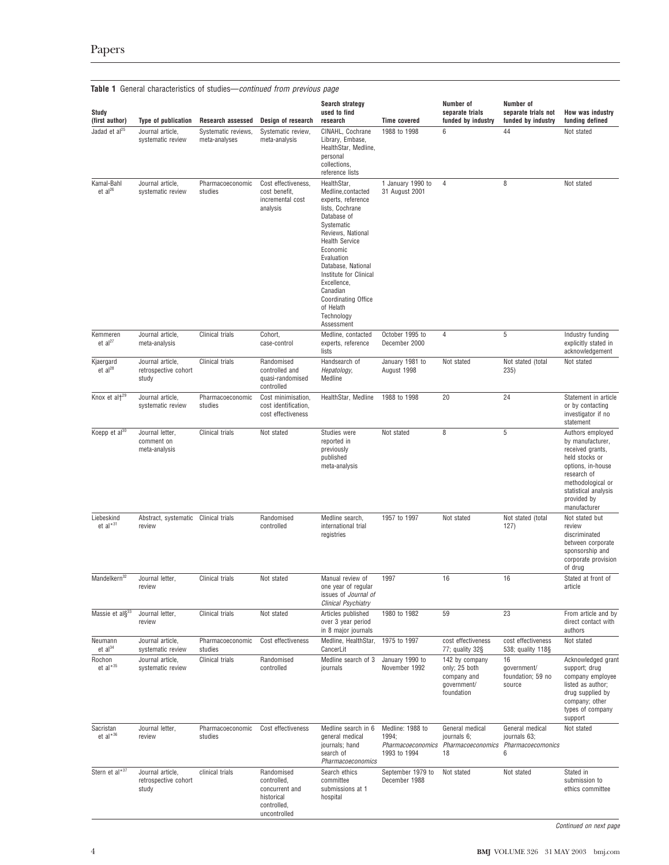| Study<br>(first author)         | <b>Type of publication</b>                        | <b>Research assessed</b>             | Design of research                                                                       | <b>Search strategy</b><br>used to find<br>research                                                                                                                                                                                                                                                                                | <b>Time covered</b>                                            | Number of<br>separate trials<br>funded by industry                          | Number of<br>separate trials not<br>funded by industry    | How was industry<br>funding defined                                                                                                                                                        |
|---------------------------------|---------------------------------------------------|--------------------------------------|------------------------------------------------------------------------------------------|-----------------------------------------------------------------------------------------------------------------------------------------------------------------------------------------------------------------------------------------------------------------------------------------------------------------------------------|----------------------------------------------------------------|-----------------------------------------------------------------------------|-----------------------------------------------------------|--------------------------------------------------------------------------------------------------------------------------------------------------------------------------------------------|
| Jadad et al <sup>25</sup>       | Journal article,<br>systematic review             | Systematic reviews,<br>meta-analyses | Systematic review,<br>meta-analysis                                                      | CINAHL, Cochrane<br>Library, Embase,<br>HealthStar, Medline,<br>personal<br>collections,<br>reference lists                                                                                                                                                                                                                       | 1988 to 1998                                                   | 6                                                                           | 44                                                        | Not stated                                                                                                                                                                                 |
| Kamal-Bahl<br>$et al^{26}$      | Journal article,<br>systematic review             | Pharmacoeconomic<br>studies          | Cost effectiveness.<br>cost benefit,<br>incremental cost<br>analysis                     | HealthStar,<br>Medline, contacted<br>experts, reference<br>lists, Cochrane<br>Database of<br>Systematic<br>Reviews, National<br><b>Health Service</b><br>Economic<br>Evaluation<br>Database, National<br>Institute for Clinical<br>Excellence,<br>Canadian<br><b>Coordinating Office</b><br>of Helath<br>Technology<br>Assessment | 1 January 1990 to<br>31 August 2001                            | $\overline{4}$                                                              | 8                                                         | Not stated                                                                                                                                                                                 |
| Kemmeren<br>et $al27$           | Journal article,<br>meta-analysis                 | Clinical trials                      | Cohort,<br>case-control                                                                  | Medline, contacted<br>experts, reference<br>lists                                                                                                                                                                                                                                                                                 | October 1995 to<br>December 2000                               | 4                                                                           | 5                                                         | Industry funding<br>explicitly stated in<br>acknowledgement                                                                                                                                |
| Kjaergard<br>$et al^{28}$       | Journal article,<br>retrospective cohort<br>study | Clinical trials                      | Randomised<br>controlled and<br>quasi-randomised<br>controlled                           | Handsearch of<br>Hepatology,<br>Medline                                                                                                                                                                                                                                                                                           | January 1981 to<br>August 1998                                 | Not stated                                                                  | Not stated (total<br>235)                                 | Not stated                                                                                                                                                                                 |
| Knox et alt <sup>29</sup>       | Journal article,<br>systematic review             | Pharmacoeconomic<br>studies          | Cost minimisation,<br>cost identification,<br>cost effectiveness                         | HealthStar, Medline                                                                                                                                                                                                                                                                                                               | 1988 to 1998                                                   | 20                                                                          | 24                                                        | Statement in article<br>or by contacting<br>investigator if no<br>statement                                                                                                                |
| Koepp et al <sup>30</sup>       | Journal letter,<br>comment on<br>meta-analysis    | Clinical trials                      | Not stated                                                                               | Studies were<br>reported in<br>previously<br>published<br>meta-analysis                                                                                                                                                                                                                                                           | Not stated                                                     | 8                                                                           | 5                                                         | Authors employed<br>by manufacturer,<br>received grants,<br>held stocks or<br>options, in-house<br>research of<br>methodological or<br>statistical analysis<br>provided by<br>manufacturer |
| Liebeskind<br>et al $*31$       | Abstract, systematic Clinical trials<br>review    |                                      | Randomised<br>controlled                                                                 | Medline search,<br>international trial<br>registries                                                                                                                                                                                                                                                                              | 1957 to 1997                                                   | Not stated                                                                  | Not stated (total<br>127)                                 | Not stated but<br>review<br>discriminated<br>between corporate<br>sponsorship and<br>corporate provision<br>of drug                                                                        |
| Mandelkern <sup>32</sup>        | Journal letter,<br>review                         | Clinical trials                      | Not stated                                                                               | Manual review of<br>one year of regular<br>issues of Journal of<br><b>Clinical Psychiatry</b>                                                                                                                                                                                                                                     | 1997                                                           | 16                                                                          | 16                                                        | Stated at front of<br>article                                                                                                                                                              |
| Massie et al $\S$ <sup>33</sup> | Journal letter,<br>review                         | <b>Clinical trials</b>               | Not stated                                                                               | Articles published<br>over 3 year period<br>in 8 major journals                                                                                                                                                                                                                                                                   | 1980 to 1982                                                   | 59                                                                          | 23                                                        | From article and by<br>direct contact with<br>authors                                                                                                                                      |
| Neumann<br>et al <sup>34</sup>  | Journal article,<br>systematic review             | Pharmacoeconomic<br>studies          | Cost effectiveness                                                                       | Medline, HealthStar,<br>CancerLit                                                                                                                                                                                                                                                                                                 | 1975 to 1997                                                   | cost effectiveness<br>77; quality 32§                                       | cost effectiveness<br>538; quality 118§                   | Not stated                                                                                                                                                                                 |
| Rochon<br>et al* $35$           | Journal article.<br>systematic review             | Clinical trials                      | Randomised<br>controlled                                                                 | Medline search of 3<br>journals                                                                                                                                                                                                                                                                                                   | January 1990 to<br>November 1992                               | 142 by company<br>only; 25 both<br>company and<br>government/<br>foundation | 16<br>government/<br>foundation; 59 no<br>source          | Acknowledged grant<br>support; drug<br>company employee<br>listed as author;<br>drug supplied by<br>company; other<br>types of company<br>support                                          |
| Sacristan<br>et al* $36$        | Journal letter,<br>review                         | Pharmacoeconomic<br>studies          | Cost effectiveness                                                                       | Medline search in 6<br>general medical<br>journals; hand<br>search of<br>Pharmacoeconomics                                                                                                                                                                                                                                        | Medline: 1988 to<br>1994;<br>Pharmacoeconomics<br>1993 to 1994 | General medical<br>journals 6;<br>Pharmacoeconomics<br>18                   | General medical<br>journals 63;<br>Pharmacoecomonics<br>6 | Not stated                                                                                                                                                                                 |
| Stern et al*37                  | Journal article,<br>retrospective cohort<br>study | clinical trials                      | Randomised<br>controlled,<br>concurrent and<br>historical<br>controlled,<br>uncontrolled | Search ethics<br>committee<br>submissions at 1<br>hospital                                                                                                                                                                                                                                                                        | September 1979 to<br>December 1988                             | Not stated                                                                  | Not stated                                                | Stated in<br>submission to<br>ethics committee                                                                                                                                             |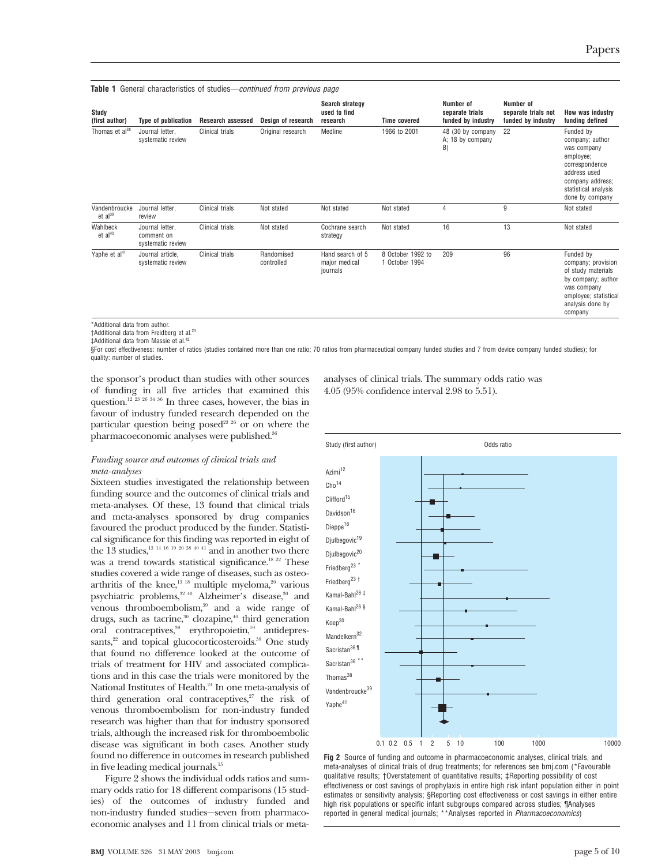**Table 1** General characteristics of studies—continued from previous page

| Study<br>(first author)         | Type of publication                                | <b>Research assessed</b> | Design of research       | Search strategy<br>used to find<br>research   | <b>Time covered</b>                 | Number of<br>separate trials<br>funded by industry | Number of<br>separate trials not<br>funded by industry | How was industry<br>funding defined                                                                                                                       |
|---------------------------------|----------------------------------------------------|--------------------------|--------------------------|-----------------------------------------------|-------------------------------------|----------------------------------------------------|--------------------------------------------------------|-----------------------------------------------------------------------------------------------------------------------------------------------------------|
| Thomas et al <sup>38</sup>      | Journal letter,<br>systematic review               | Clinical trials          | Original research        | Medline                                       | 1966 to 2001                        | 48 (30 by company<br>A; 18 by company<br>B)        | 22                                                     | Funded by<br>company; author<br>was company<br>employee;<br>correspondence<br>address used<br>company address;<br>statistical analysis<br>done by company |
| Vandenbroucke<br>$et al^{39}$   | Journal letter,<br>review                          | Clinical trials          | Not stated               | Not stated                                    | Not stated                          | 4                                                  | 9                                                      | Not stated                                                                                                                                                |
| Wahlbeck<br>et al <sup>40</sup> | Journal letter,<br>comment on<br>systematic review | Clinical trials          | Not stated               | Cochrane search<br>strategy                   | Not stated                          | 16                                                 | 13                                                     | Not stated                                                                                                                                                |
| Yaphe et al <sup>41</sup>       | Journal article,<br>systematic review              | Clinical trials          | Randomised<br>controlled | Hand search of 5<br>major medical<br>journals | 8 October 1992 to<br>1 October 1994 | 209                                                | 96                                                     | Funded by<br>company; provision<br>of study materials<br>by company; author<br>was company<br>employee; statistical<br>analysis done by<br>company        |

\*Additional data from author.

†Additional data from Freidberg et al.23

‡Additional data from Massie et al.42

§For cost effectiveness: number of ratios (studies contained more than one ratio; 70 ratios from pharmaceutical company funded studies and 7 from device company funded studies); for quality: number of studies.

the sponsor's product than studies with other sources of funding in all five articles that examined this question.<sup>12 23</sup> <sup>26</sup> <sup>34</sup> <sup>36</sup> In three cases, however, the bias in favour of industry funded research depended on the particular question being posed<sup>23 26</sup> or on where the pharmacoeconomic analyses were published.36

# *Funding source and outcomes of clinical trials and meta-analyses*

Sixteen studies investigated the relationship between funding source and the outcomes of clinical trials and meta-analyses. Of these, 13 found that clinical trials and meta-analyses sponsored by drug companies favoured the product produced by the funder. Statistical significance for this finding was reported in eight of the  $\overline{13}$  studies,<sup>13 14 16 19 20 38 40 41</sup> and in another two there was a trend towards statistical significance.<sup>18 22</sup> These studies covered a wide range of diseases, such as osteoarthritis of the knee, $^{13}$  18 multiple myeloma, $^{20}$  various psychiatric problems,32 40 Alzheimer's disease,30 and venous thromboembolism,<sup>39</sup> and a wide range of drugs, such as tacrine, $30$  clozapine, $40$  third generation oral contraceptives,<sup>39</sup> erythropoietin,<sup>19</sup> antidepressants, $22$  and topical glucocorticosteroids. $38$  One study that found no difference looked at the outcome of trials of treatment for HIV and associated complications and in this case the trials were monitored by the National Institutes of Health.<sup>24</sup> In one meta-analysis of third generation oral contraceptives, $27$  the risk of venous thromboembolism for non-industry funded research was higher than that for industry sponsored trials, although the increased risk for thromboembolic disease was significant in both cases. Another study found no difference in outcomes in research published in five leading medical journals.<sup>15</sup>

Figure 2 shows the individual odds ratios and summary odds ratio for 18 different comparisons (15 studies) of the outcomes of industry funded and non-industry funded studies—seven from pharmacoeconomic analyses and 11 from clinical trials or metaanalyses of clinical trials. The summary odds ratio was 4.05 (95% confidence interval 2.98 to 5.51).



**Fig 2** Source of funding and outcome in pharmacoeconomic analyses, clinical trials, and meta-analyses of clinical trials of drug treatments; for references see bmj.com (\*Favourable qualitative results; †Overstatement of quantitative results; ‡Reporting possibility of cost effectiveness or cost savings of prophylaxis in entire high risk infant population either in point estimates or sensitivity analysis; §Reporting cost effectiveness or cost savings in either entire high risk populations or specific infant subgroups compared across studies; ¶Analyses reported in general medical journals; \*\*Analyses reported in Pharmacoeconomics)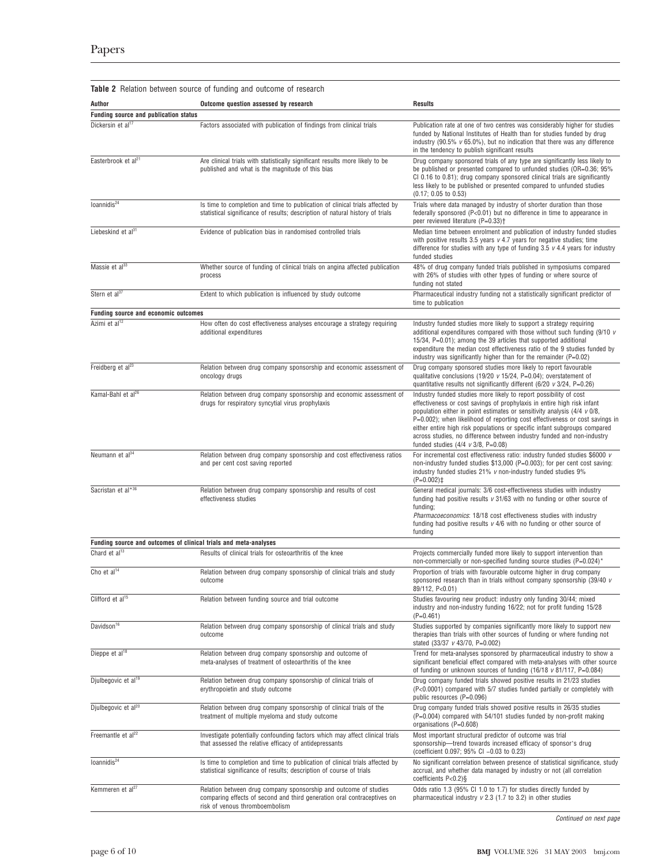|                                                      | <b>Table 2</b> Relation between source of funding and outcome of research                                                                                                     |                                                                                                                                                                                                                                                                                                                                                                                                                                                                                                                                    |
|------------------------------------------------------|-------------------------------------------------------------------------------------------------------------------------------------------------------------------------------|------------------------------------------------------------------------------------------------------------------------------------------------------------------------------------------------------------------------------------------------------------------------------------------------------------------------------------------------------------------------------------------------------------------------------------------------------------------------------------------------------------------------------------|
| Author                                               | Outcome question assessed by research                                                                                                                                         | <b>Results</b>                                                                                                                                                                                                                                                                                                                                                                                                                                                                                                                     |
| Funding source and publication status                |                                                                                                                                                                               |                                                                                                                                                                                                                                                                                                                                                                                                                                                                                                                                    |
| Dickersin et al <sup>17</sup>                        | Factors associated with publication of findings from clinical trials                                                                                                          | Publication rate at one of two centres was considerably higher for studies<br>funded by National Institutes of Health than for studies funded by drug<br>industry (90.5% $v$ 65.0%), but no indication that there was any difference<br>in the tendency to publish significant results                                                                                                                                                                                                                                             |
| Easterbrook et al <sup>21</sup>                      | Are clinical trials with statistically significant results more likely to be<br>published and what is the magnitude of this bias                                              | Drug company sponsored trials of any type are significantly less likely to<br>be published or presented compared to unfunded studies (OR=0.36; 95%)<br>CI 0.16 to 0.81); drug company sponsored clinical trials are significantly<br>less likely to be published or presented compared to unfunded studies<br>$(0.17; 0.05$ to $0.53)$                                                                                                                                                                                             |
| loannidis <sup>24</sup>                              | Is time to completion and time to publication of clinical trials affected by<br>statistical significance of results; description of natural history of trials                 | Trials where data managed by industry of shorter duration than those<br>federally sponsored ( $P < 0.01$ ) but no difference in time to appearance in<br>peer reviewed literature (P=0.33) <sup>+</sup>                                                                                                                                                                                                                                                                                                                            |
| Liebeskind et al <sup>31</sup>                       | Evidence of publication bias in randomised controlled trials                                                                                                                  | Median time between enrolment and publication of industry funded studies<br>with positive results 3.5 years $v$ 4.7 years for negative studies; time<br>difference for studies with any type of funding $3.5$ $v$ 4.4 years for industry<br>funded studies                                                                                                                                                                                                                                                                         |
| Massie et al <sup>33</sup>                           | Whether source of funding of clinical trials on angina affected publication<br>process                                                                                        | 48% of drug company funded trials published in symposiums compared<br>with 26% of studies with other types of funding or where source of<br>funding not stated                                                                                                                                                                                                                                                                                                                                                                     |
| Stern et al <sup>37</sup>                            | Extent to which publication is influenced by study outcome                                                                                                                    | Pharmaceutical industry funding not a statistically significant predictor of<br>time to publication                                                                                                                                                                                                                                                                                                                                                                                                                                |
| Funding source and economic outcomes                 |                                                                                                                                                                               |                                                                                                                                                                                                                                                                                                                                                                                                                                                                                                                                    |
| Azimi et al <sup>12</sup>                            | How often do cost effectiveness analyses encourage a strategy requiring<br>additional expenditures                                                                            | Industry funded studies more likely to support a strategy requiring<br>additional expenditures compared with those without such funding $(9/10 \text{ V})$<br>15/34, P=0.01); among the 39 articles that supported additional<br>expenditure the median cost effectiveness ratio of the 9 studies funded by<br>industry was significantly higher than for the remainder (P=0.02)                                                                                                                                                   |
| Freidberg et al <sup>23</sup>                        | Relation between drug company sponsorship and economic assessment of<br>oncology drugs                                                                                        | Drug company sponsored studies more likely to report favourable<br>qualitative conclusions (19/20 $v$ 15/24, P=0.04); overstatement of<br>quantitative results not significantly different $(6/20 \text{ v } 3/24, \text{ P} = 0.26)$                                                                                                                                                                                                                                                                                              |
| Kamal-Bahl et al <sup>26</sup>                       | Relation between drug company sponsorship and economic assessment of<br>drugs for respiratory syncytial virus prophylaxis                                                     | Industry funded studies more likely to report possibility of cost<br>effectiveness or cost savings of prophylaxis in entire high risk infant<br>population either in point estimates or sensitivity analysis $(4/4 \, \nu \, 0/8,$<br>P=0.002); when likelihood of reporting cost effectiveness or cost savings in<br>either entire high risk populations or specific infant subgroups compared<br>across studies, no difference between industry funded and non-industry<br>funded studies $(4/4 \text{ v } 3/8, \text{ P}=0.08)$ |
| Neumann et al <sup>34</sup>                          | Relation between drug company sponsorship and cost effectiveness ratios<br>and per cent cost saving reported                                                                  | For incremental cost effectiveness ratio: industry funded studies \$6000 v<br>non-industry funded studies \$13,000 (P=0.003); for per cent cost saving:<br>industry funded studies 21% v non-industry funded studies 9%<br>$(P=0.002)$ ‡                                                                                                                                                                                                                                                                                           |
| Sacristan et al*36                                   | Relation between drug company sponsorship and results of cost<br>effectiveness studies                                                                                        | General medical journals: 3/6 cost-effectiveness studies with industry<br>funding had positive results $v$ 31/63 with no funding or other source of<br>funding;<br>Pharmacoeconomics: 18/18 cost effectiveness studies with industry<br>funding had positive results $v$ 4/6 with no funding or other source of<br>funding                                                                                                                                                                                                         |
|                                                      | Funding source and outcomes of clinical trials and meta-analyses                                                                                                              |                                                                                                                                                                                                                                                                                                                                                                                                                                                                                                                                    |
| Chard et al <sup>13</sup><br>Cho et al <sup>14</sup> | Results of clinical trials for osteoarthritis of the knee<br>Relation between drug company sponsorship of clinical trials and study<br>outcome                                | Projects commercially funded more likely to support intervention than<br>non-commercially or non-specified funding source studies (P=0.024)*<br>Proportion of trials with favourable outcome higher in drug company<br>sponsored research than in trials without company sponsorship (39/40 v                                                                                                                                                                                                                                      |
| Clifford et al <sup>15</sup>                         | Relation between funding source and trial outcome                                                                                                                             | 89/112, P<0.01)<br>Studies favouring new product: industry only funding 30/44; mixed<br>industry and non-industry funding 16/22; not for profit funding 15/28<br>$(P=0.461)$                                                                                                                                                                                                                                                                                                                                                       |
| Davidson <sup>16</sup>                               | Relation between drug company sponsorship of clinical trials and study<br>outcome                                                                                             | Studies supported by companies significantly more likely to support new<br>therapies than trials with other sources of funding or where funding not<br>stated (33/37 v 43/70, P=0.002)                                                                                                                                                                                                                                                                                                                                             |
| Dieppe et al <sup>18</sup>                           | Relation between drug company sponsorship and outcome of<br>meta-analyses of treatment of osteoarthritis of the knee                                                          | Trend for meta-analyses sponsored by pharmaceutical industry to show a<br>significant beneficial effect compared with meta-analyses with other source<br>of funding or unknown sources of funding $(16/18 \text{ v } 81/117, \text{ P} = 0.084)$                                                                                                                                                                                                                                                                                   |
| Djulbegovic et al <sup>19</sup>                      | Relation between drug company sponsorship of clinical trials of<br>erythropoietin and study outcome                                                                           | Drug company funded trials showed positive results in 21/23 studies<br>(P<0.0001) compared with 5/7 studies funded partially or completely with<br>public resources (P=0.096)                                                                                                                                                                                                                                                                                                                                                      |
| Djulbegovic et al <sup>20</sup>                      | Relation between drug company sponsorship of clinical trials of the<br>treatment of multiple myeloma and study outcome                                                        | Drug company funded trials showed positive results in 26/35 studies<br>(P=0.004) compared with 54/101 studies funded by non-profit making<br>organisations (P=0.608)                                                                                                                                                                                                                                                                                                                                                               |
| Freemantle et al <sup>22</sup>                       | Investigate potentially confounding factors which may affect clinical trials<br>that assessed the relative efficacy of antidepressants                                        | Most important structural predictor of outcome was trial<br>sponsorship-trend towards increased efficacy of sponsor's drug<br>(coefficient 0.097; 95% CI -0.03 to 0.23)                                                                                                                                                                                                                                                                                                                                                            |
| loannidis <sup>24</sup>                              | Is time to completion and time to publication of clinical trials affected by<br>statistical significance of results; description of course of trials                          | No significant correlation between presence of statistical significance, study<br>accrual, and whether data managed by industry or not (all correlation<br>coefficients P<0.2)§                                                                                                                                                                                                                                                                                                                                                    |
| Kemmeren et al <sup>27</sup>                         | Relation between drug company sponsorship and outcome of studies<br>comparing effects of second and third generation oral contraceptives on<br>risk of venous thromboembolism | Odds ratio 1.3 (95% CI 1.0 to 1.7) for studies directly funded by<br>pharmaceutical industry $v$ 2.3 (1.7 to 3.2) in other studies                                                                                                                                                                                                                                                                                                                                                                                                 |

Continued on next page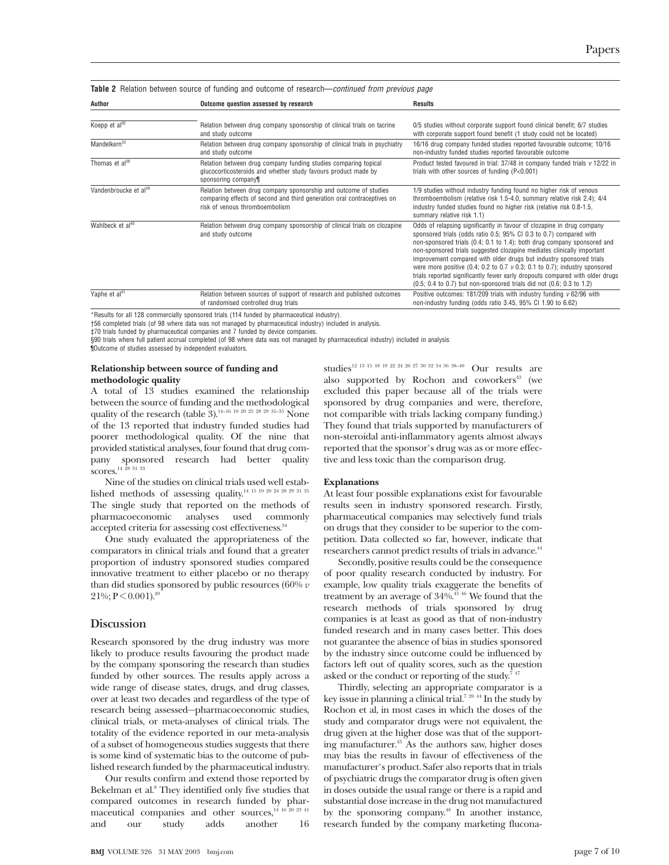**Table 2** Relation between source of funding and outcome of research—continued from previous page

| Author                            | Outcome question assessed by research                                                                                                                                         | <b>Results</b>                                                                                                                                                                                                                                                                                                                                                                                                                                                                                                                                                                                                         |
|-----------------------------------|-------------------------------------------------------------------------------------------------------------------------------------------------------------------------------|------------------------------------------------------------------------------------------------------------------------------------------------------------------------------------------------------------------------------------------------------------------------------------------------------------------------------------------------------------------------------------------------------------------------------------------------------------------------------------------------------------------------------------------------------------------------------------------------------------------------|
| Koepp et al <sup>30</sup>         | Relation between drug company sponsorship of clinical trials on tacrine<br>and study outcome                                                                                  | 0/5 studies without corporate support found clinical benefit; 6/7 studies<br>with corporate support found benefit (1 study could not be located)                                                                                                                                                                                                                                                                                                                                                                                                                                                                       |
| Mandelkern <sup>32</sup>          | Relation between drug company sponsorship of clinical trials in psychiatry<br>and study outcome                                                                               | 16/16 drug company funded studies reported favourable outcome; 10/16<br>non-industry funded studies reported favourable outcome                                                                                                                                                                                                                                                                                                                                                                                                                                                                                        |
| Thomas et $al^{38}$               | Relation between drug company funding studies comparing topical<br>glucocorticosteroids and whether study favours product made by<br>sponsoring company¶                      | Product tested favoured in trial: $37/48$ in company funded trials $v$ 12/22 in<br>trials with other sources of funding $(P<0.001)$                                                                                                                                                                                                                                                                                                                                                                                                                                                                                    |
| Vandenbroucke et al <sup>39</sup> | Relation between drug company sponsorship and outcome of studies<br>comparing effects of second and third generation oral contraceptives on<br>risk of venous thromboembolism | 1/9 studies without industry funding found no higher risk of venous<br>thromboembolism (relative risk 1.5-4.0, summary relative risk 2.4); 4/4<br>industry funded studies found no higher risk (relative risk 0.8-1.5,<br>summary relative risk 1.1)                                                                                                                                                                                                                                                                                                                                                                   |
| Wahlbeck et al <sup>40</sup>      | Relation between drug company sponsorship of clinical trials on clozapine<br>and study outcome                                                                                | Odds of relapsing significantly in favour of clozapine in drug company<br>sponsored trials (odds ratio 0.5; 95% CI 0.3 to 0.7) compared with<br>non-sponsored trials (0.4; 0.1 to 1.4); both drug company sponsored and<br>non-sponsored trials suggested clozapine mediates clinically important<br>improvement compared with older drugs but industry sponsored trials<br>were more positive (0.4; 0.2 to 0.7 $\nu$ 0.3; 0.1 to 0.7); industry sponsored<br>trials reported significantly fewer early dropouts compared with older drugs<br>$(0.5; 0.4$ to 0.7) but non-sponsored trials did not $(0.6; 0.3$ to 1.2) |
| Yaphe et al <sup>41</sup>         | Relation between sources of support of research and published outcomes<br>of randomised controlled drug trials                                                                | Positive outcomes: 181/209 trials with industry funding v 62/96 with<br>non-industry funding (odds ratio 3.45, 95% CI 1.90 to 6.62)                                                                                                                                                                                                                                                                                                                                                                                                                                                                                    |

\*Results for all 128 commercially sponsored trials (114 funded by pharmaceutical industry).

†56 completed trials (of 98 where data was not managed by pharmaceutical industry) included in analysis.

‡70 trials funded by pharmaceutical companies and 7 funded by device companies.

§90 trials where full patient accrual completed (of 98 where data was not managed by pharmaceutical industry) included in analysis ¶Outcome of studies assessed by independent evaluators.

#### **Relationship between source of funding and methodologic quality**

A total of 13 studies examined the relationship between the source of funding and the methodological quality of the research (table  $3$ ).<sup>14–16</sup> <sup>19 20</sup> <sup>25</sup> <sup>28</sup> <sup>29</sup> <sup>31–35</sup> None of the 13 reported that industry funded studies had poorer methodological quality. Of the nine that provided statistical analyses, four found that drug company sponsored research had better quality scores.<sup>14</sup> <sup>28</sup> 31 33

Nine of the studies on clinical trials used well established methods of assessing quality.14 15 19 20 24 28 29 31 35 The single study that reported on the methods of pharmacoeconomic analyses used commonly accepted criteria for assessing cost effectiveness.<sup>34</sup>

One study evaluated the appropriateness of the comparators in clinical trials and found that a greater proportion of industry sponsored studies compared innovative treatment to either placebo or no therapy than did studies sponsored by public resources (60% *v*  $21\%$ ; P  $\leq 0.001$ ).<sup>20</sup>

# **Discussion**

Research sponsored by the drug industry was more likely to produce results favouring the product made by the company sponsoring the research than studies funded by other sources. The results apply across a wide range of disease states, drugs, and drug classes, over at least two decades and regardless of the type of research being assessed—pharmacoeconomic studies, clinical trials, or meta-analyses of clinical trials. The totality of the evidence reported in our meta-analysis of a subset of homogeneous studies suggests that there is some kind of systematic bias to the outcome of published research funded by the pharmaceutical industry.

Our results confirm and extend those reported by Bekelman et al.<sup>8</sup> They identified only five studies that compared outcomes in research funded by pharmaceutical companies and other sources,<sup>14 16 20</sup> <sup>23 41</sup> and our study adds another 16 studies<sup>12</sup> <sup>13</sup> <sup>15</sup> <sup>18</sup> <sup>19</sup> <sup>22</sup> <sup>24</sup> <sup>26</sup> <sup>27</sup> <sup>30</sup> <sup>32</sup> <sup>34</sup> <sup>36</sup> <sup>38</sup>-<sup>40</sup> Our results are also supported by Rochon and coworkers<sup>43</sup> (we excluded this paper because all of the trials were sponsored by drug companies and were, therefore, not comparible with trials lacking company funding.) They found that trials supported by manufacturers of non-steroidal anti-inflammatory agents almost always reported that the sponsor's drug was as or more effective and less toxic than the comparison drug.

#### **Explanations**

At least four possible explanations exist for favourable results seen in industry sponsored research. Firstly, pharmaceutical companies may selectively fund trials on drugs that they consider to be superior to the competition. Data collected so far, however, indicate that researchers cannot predict results of trials in advance.<sup>44</sup>

Secondly, positive results could be the consequence of poor quality research conducted by industry. For example, low quality trials exaggerate the benefits of treatment by an average of  $34\%$ .<sup>45 46</sup> We found that the research methods of trials sponsored by drug companies is at least as good as that of non-industry funded research and in many cases better. This does not guarantee the absence of bias in studies sponsored by the industry since outcome could be influenced by factors left out of quality scores, such as the question asked or the conduct or reporting of the study.<sup>747</sup>

Thirdly, selecting an appropriate comparator is a key issue in planning a clinical trial.<sup>7</sup> <sup>20</sup> <sup>44</sup> In the study by Rochon et al, in most cases in which the doses of the study and comparator drugs were not equivalent, the drug given at the higher dose was that of the supporting manufacturer.<sup>43</sup> As the authors saw, higher doses may bias the results in favour of effectiveness of the manufacturer's product. Safer also reports that in trials of psychiatric drugs the comparator drug is often given in doses outside the usual range or there is a rapid and substantial dose increase in the drug not manufactured by the sponsoring company.<sup>48</sup> In another instance, research funded by the company marketing flucona-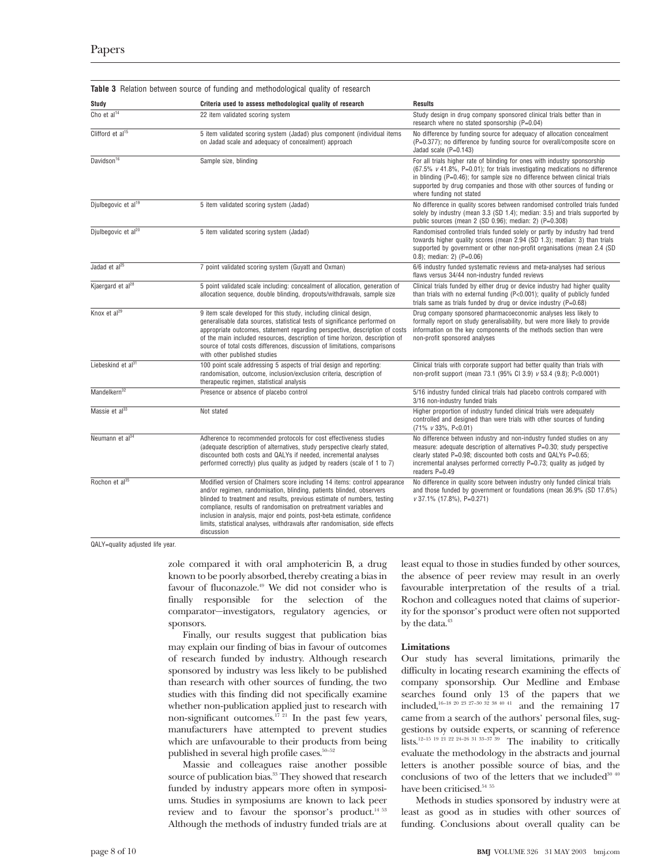| Study                           | Criteria used to assess methodological quality of research                                                                                                                                                                                                                                                                                                                                                                                                                 | <b>Results</b>                                                                                                                                                                                                                                                                                                                                                           |
|---------------------------------|----------------------------------------------------------------------------------------------------------------------------------------------------------------------------------------------------------------------------------------------------------------------------------------------------------------------------------------------------------------------------------------------------------------------------------------------------------------------------|--------------------------------------------------------------------------------------------------------------------------------------------------------------------------------------------------------------------------------------------------------------------------------------------------------------------------------------------------------------------------|
| Cho et $aI14$                   | 22 item validated scoring system                                                                                                                                                                                                                                                                                                                                                                                                                                           | Study design in drug company sponsored clinical trials better than in<br>research where no stated sponsorship (P=0.04)                                                                                                                                                                                                                                                   |
| Clifford et al <sup>15</sup>    | 5 item validated scoring system (Jadad) plus component (individual items<br>on Jadad scale and adequacy of concealment) approach                                                                                                                                                                                                                                                                                                                                           | No difference by funding source for adequacy of allocation concealment<br>(P=0.377); no difference by funding source for overall/composite score on<br>Jadad scale $(P=0.143)$                                                                                                                                                                                           |
| Davidson <sup>16</sup>          | Sample size, blinding                                                                                                                                                                                                                                                                                                                                                                                                                                                      | For all trials higher rate of blinding for ones with industry sponsorship<br>$(67.5\% \text{ v } 41.8\%, \text{ P} = 0.01)$ ; for trials investigating medications no difference<br>in blinding $(P=0.46)$ ; for sample size no difference between clinical trials<br>supported by drug companies and those with other sources of funding or<br>where funding not stated |
| Djulbegovic et al <sup>19</sup> | 5 item validated scoring system (Jadad)                                                                                                                                                                                                                                                                                                                                                                                                                                    | No difference in quality scores between randomised controlled trials funded<br>solely by industry (mean 3.3 (SD 1.4); median: 3.5) and trials supported by<br>public sources (mean $2$ (SD 0.96); median: $2$ ) (P=0.308)                                                                                                                                                |
| Djulbegovic et al <sup>20</sup> | 5 item validated scoring system (Jadad)                                                                                                                                                                                                                                                                                                                                                                                                                                    | Randomised controlled trials funded solely or partly by industry had trend<br>towards higher quality scores (mean 2.94 (SD 1.3); median: 3) than trials<br>supported by government or other non-profit organisations (mean 2.4 (SD<br>$(0.8)$ ; median: 2) $(P=0.06)$                                                                                                    |
| Jadad et $al^{25}$              | 7 point validated scoring system (Guyatt and Oxman)                                                                                                                                                                                                                                                                                                                                                                                                                        | 6/6 industry funded systematic reviews and meta-analyses had serious<br>flaws versus 34/44 non-industry funded reviews                                                                                                                                                                                                                                                   |
| Kjaergard et al <sup>28</sup>   | 5 point validated scale including: concealment of allocation, generation of<br>allocation sequence, double blinding, dropouts/withdrawals, sample size                                                                                                                                                                                                                                                                                                                     | Clinical trials funded by either drug or device industry had higher quality<br>than trials with no external funding (P<0.001); quality of publicly funded<br>trials same as trials funded by drug or device industry $(P=0.68)$                                                                                                                                          |
| Knox et al <sup>29</sup>        | 9 item scale developed for this study, including clinical design,<br>generalisable data sources, statistical tests of significance performed on<br>appropriate outcomes, statement regarding perspective, description of costs<br>of the main included resources, description of time horizon, description of<br>source of total costs differences, discussion of limitations, comparisons<br>with other published studies                                                 | Drug company sponsored pharmacoeconomic analyses less likely to<br>formally report on study generalisability, but were more likely to provide<br>information on the key components of the methods section than were<br>non-profit sponsored analyses                                                                                                                     |
| Liebeskind et $al^{31}$         | 100 point scale addressing 5 aspects of trial design and reporting:<br>randomisation, outcome, inclusion/exclusion criteria, description of<br>therapeutic regimen, statistical analysis                                                                                                                                                                                                                                                                                   | Clinical trials with corporate support had better quality than trials with<br>non-profit support (mean 73.1 (95% CI 3.9) v 53.4 (9.8); P<0.0001)                                                                                                                                                                                                                         |
| Mandelkern <sup>32</sup>        | Presence or absence of placebo control                                                                                                                                                                                                                                                                                                                                                                                                                                     | 5/16 industry funded clinical trials had placebo controls compared with<br>3/16 non-industry funded trials                                                                                                                                                                                                                                                               |
| Massie et al <sup>33</sup>      | Not stated                                                                                                                                                                                                                                                                                                                                                                                                                                                                 | Higher proportion of industry funded clinical trials were adequately<br>controlled and designed than were trials with other sources of funding<br>$(71\%$ v 33%, P<0.01)                                                                                                                                                                                                 |
| Neumann et $al^{34}$            | Adherence to recommended protocols for cost effectiveness studies<br>(adequate description of alternatives, study perspective clearly stated,<br>discounted both costs and QALYs if needed, incremental analyses<br>performed correctly) plus quality as judged by readers (scale of 1 to 7)                                                                                                                                                                               | No difference between industry and non-industry funded studies on any<br>measure: adequate description of alternatives P=0.30; study perspective<br>clearly stated P=0.98; discounted both costs and QALYs P=0.65;<br>incremental analyses performed correctly $P=0.73$ ; quality as judged by<br>readers P=0.49                                                         |
| Rochon et al <sup>35</sup>      | Modified version of Chalmers score including 14 items: control appearance<br>and/or regimen, randomisation, blinding, patients blinded, observers<br>blinded to treatment and results, previous estimate of numbers, testing<br>compliance, results of randomisation on pretreatment variables and<br>inclusion in analysis, major end points, post-beta estimate, confidence<br>limits, statistical analyses, withdrawals after randomisation, side effects<br>discussion | No difference in quality score between industry only funded clinical trials<br>and those funded by government or foundations (mean 36.9% (SD 17.6%)<br>v 37.1% (17.8%), P=0.271)                                                                                                                                                                                         |

**Table 3** Relation between source of funding and methodological quality of research

QALY=quality adjusted life year.

zole compared it with oral amphotericin B, a drug known to be poorly absorbed, thereby creating a bias in favour of fluconazole.<sup>49</sup> We did not consider who is finally responsible for the selection of the comparator—investigators, regulatory agencies, or sponsors.

Finally, our results suggest that publication bias may explain our finding of bias in favour of outcomes of research funded by industry. Although research sponsored by industry was less likely to be published than research with other sources of funding, the two studies with this finding did not specifically examine whether non-publication applied just to research with non-significant outcomes.17 21 In the past few years, manufacturers have attempted to prevent studies which are unfavourable to their products from being published in several high profile cases.<sup>50-52</sup>

Massie and colleagues raise another possible source of publication bias.<sup>33</sup> They showed that research funded by industry appears more often in symposiums. Studies in symposiums are known to lack peer review and to favour the sponsor's product. $14\,53$ Although the methods of industry funded trials are at least equal to those in studies funded by other sources, the absence of peer review may result in an overly favourable interpretation of the results of a trial. Rochon and colleagues noted that claims of superiority for the sponsor's product were often not supported by the data.<sup>43</sup>

#### **Limitations**

Our study has several limitations, primarily the difficulty in locating research examining the effects of company sponsorship. Our Medline and Embase searches found only 13 of the papers that we included,16–18 20 23 27–30 32 38 40 41 and the remaining 17 came from a search of the authors' personal files, suggestions by outside experts, or scanning of reference lists.<sup>12–15</sup> <sup>19</sup> <sup>21</sup> <sup>22</sup> <sup>24–26</sup> <sup>31</sup> <sup>33–37</sup> <sup>39</sup> The inability to critically evaluate the methodology in the abstracts and journal letters is another possible source of bias, and the conclusions of two of the letters that we included<sup>30 40</sup> have been criticised. $^{\rm 54}$   $^{\rm 55}$ 

Methods in studies sponsored by industry were at least as good as in studies with other sources of funding. Conclusions about overall quality can be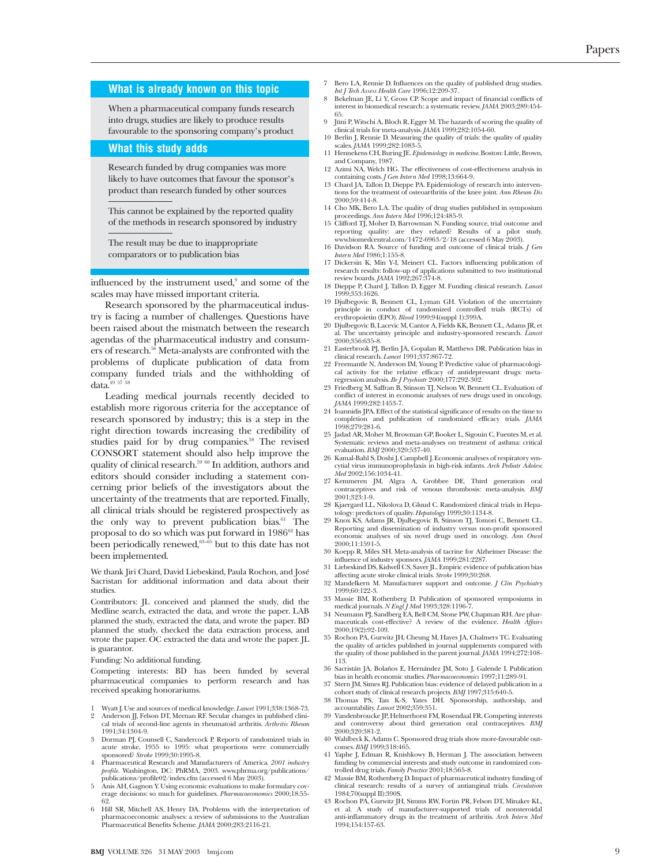# **What is already known on this topic**

When a pharmaceutical company funds research into drugs, studies are likely to produce results favourable to the sponsoring company's product

#### **What this study adds**

Research funded by drug companies was more likely to have outcomes that favour the sponsor's product than research funded by other sources

This cannot be explained by the reported quality of the methods in research sponsored by industry

The result may be due to inappropriate comparators or to publication bias

influenced by the instrument used, $9$  and some of the scales may have missed important criteria.

Research sponsored by the pharmaceutical industry is facing a number of challenges. Questions have been raised about the mismatch between the research agendas of the pharmaceutical industry and consumers of research.56 Meta-analysts are confronted with the problems of duplicate publication of data from company funded trials and the withholding of data. $49\frac{57}{58}$ 

Leading medical journals recently decided to establish more rigorous criteria for the acceptance of research sponsored by industry; this is a step in the right direction towards increasing the credibility of studies paid for by drug companies.<sup>58</sup> The revised CONSORT statement should also help improve the quality of clinical research.<sup>59 60</sup> In addition, authors and editors should consider including a statement concerning prior beliefs of the investigators about the uncertainty of the treatments that are reported. Finally, all clinical trials should be registered prospectively as the only way to prevent publication bias.<sup>61</sup> The proposal to do so which was put forward in 1986<sup>62</sup> has been periodically renewed,<sup>63–65</sup> but to this date has not been implemented.

We thank Jiri Chard, David Liebeskind, Paula Rochon, and José Sacristan for additional information and data about their studies.

Contributors: JL conceived and planned the study, did the Medline search, extracted the data, and wrote the paper. LAB planned the study, extracted the data, and wrote the paper. BD planned the study, checked the data extraction process, and wrote the paper. OC extracted the data and wrote the paper. JL is guarantor.

Funding: No additional funding.

Competing interests: BD has been funded by several pharmaceutical companies to perform research and has received speaking honorariums.

- 1 Wyatt J. Use and sources of medical knowledge. *Lancet* 1991;338:1368-73.
- 2 Anderson JJ, Felson DT, Meenan RF. Secular changes in published clinical trials of second-line agents in rheumatoid arthritis. *Arthritis Rheum* 1991;34:1304-9.
- 3 Dorman PJ, Counsell C, Sandercock P. Reports of randomized trials in acute stroke, 1955 to 1995: what proportions were commercially sponsored? *Stroke* 1999;30:1995-8.
- 4 Pharmaceutical Research and Manufacturers of America. *2001 industry profile*. Washington, DC: PhRMA, 2003. www.phrma.org/publications/ publications/profile02/index.cfm (accessed 6 May 2003).
- 5 Anis AH, Gagnon Y. Using economic evaluations to make formulary coverage decisions: so much for guidelines. *Pharmacoeconomics* 2000;18:55-
- 62. 6 Hill SR, Mitchell AS, Henry DA. Problems with the interpretation of pharmacoeconomic analyses: a review of submissions to the Australian Pharmaceutical Benefits Scheme. *JAMA* 2000;283:2116-21.
- 7 Bero LA, Rennie D. Influences on the quality of published drug studies. *Int J Tech Assess Health Care* 1996;12:209-37.<br>8 Bekelman JE, Li Y, Gross CP. Scope and impact of financial conflicts of
- interest in biomedical research: a systematic review. *JAMA* 2003;289:454- 65.
- 9 Jüni P, Witschi A, Bloch R, Egger M. The hazards of scoring the quality of clinical trials for meta-analysis. *JAMA* 1999;282:1054-60.
- 10 Berlin J, Rennie D. Measuring the quality of trials: the quality of quality scales. *JAMA* 1999;282:1083-5.
- 11 Hennekens CH, Buring JE. *Epidemiology in medicine*. Boston: Little, Brown, and Company, 1987. 12 Azimi NA, Welch HG. The effectiveness of cost-effectiveness analysis in
- containing costs. *J Gen Intern Med* 1998;13:664-9. 13 Chard JA, Tallon D, Dieppe PA. Epidemiology of research into interven-
- tions for the treatment of osteoarthritis of the knee joint. *Ann Rheum Dis* 2000;59:414-8.
- 14 Cho MK, Bero LA. The quality of drug studies published in symposium proceedings. *Ann Intern Med* 1996;124:485-9.
- 15 Clifford TJ, Moher D, Barrowman N. Funding source, trial outcome and reporting quality: are they related? Results of a pilot study. www.biomedcentral.com/1472-6963/2/18 (accessed 6 May 2003).
- 16 Davidson RA. Source of funding and outcome of clinical trials. *J Gen Intern Med* 1986;1:155-8.
- 17 Dickersin K, Min Y-I, Meinert CL. Factors influencing publication of<br>research results: follow-up of applications submitted to two institutional<br>review boards. *JAMA* 1992;267:374-8.<br>18 Dieppe P, Chard J, Tallon D, Egger
- 1999;353:1626.
- 19 Djulbegovic B, Bennett CL, Lyman GH. Violation of the uncertainty principle in conduct of randomized controlled trials (RCTs) of erythropoietin (EPO). *Blood* 1999;94(suppl 1):399A.
- 20 Djulbegovic B, Lacevic M, Cantor A, Fields KK, Bennett CL, Adams JR, et al. The uncertainty principle and industry-sponsored research. *Lancet* 2000;356:635-8.
- 21 Easterbrook PJ, Berlin JA, Gopalan R, Matthews DR. Publication bias in clinical research. *Lancet* 1991;337:867-72.
- 22 Freemantle N, Anderson IM, Young P. Predictive value of pharmacologi-cal activity for the relative efficacy of antidepressant drugs: metaregression analysis. *Br J Psychiatr* 2000;177:292-302.
- 23 Friedberg M, Saffran B, Stinson TJ, Nelson W, Bennett CL. Evaluation of conflict of interest in economic analyses of new drugs used in oncology. *JAMA* 1999;282:1453-7.
- 24 Ioannidis JPA. Effect of the statistical significance of results on the time to completion and publication of randomized efficacy trials. *JAMA* 1998;279:281-6.
- 25 Jadad AR, Moher M, Browman GP, Booker L, Sigouin C, Fuentes M, et al. Systematic reviews and meta-analyses on treatment of asthma: critical evaluation. *BMJ* 2000;320:537-40.
- 26 Kamal-Bahl S, Doshi J, Campbell J. Economic analyses of respiratory syncytial virus immunoprophylaxis in high-risk infants. *Arch Pediatr Adolesc Med* 2002;156:1034-41.
- 27 Kemmeren JM, Algra A, Grobbee DE. Third generation oral contraceptives and risk of venous thrombosis: meta-analysis. *BMJ* 2001;323:1-9.
- 28 Kjaergard LL, Nikolova D, Gluud C. Randomized clinical trials in Hepatology: predictors of quality. *Hepatology* 1999;30:1134-8. 29 Knox KS, Adams JR, Djulbegovic B, Stinson TJ, Tomori C, Bennett CL.
- Reporting and dissemination of industry versus non-profit sponsored economic analyses of six novel drugs used in oncology. *Ann Oncol* 2000;11:1591-5.
- 30 Koepp R, Miles SH. Meta-analysis of tacrine for Alzheimer Disease: the influence of industry sponsors. *JAMA* 1999;281:2287.
- 31 Liebeskind DS, Kidwell CS, Saver JL. Empiric evidence of publication bias affecting acute stroke clinical trials. *Stroke* 1999;30:268.
- 32 Mandelkern M. Manufacturer support and outcome. *J Clin Psychiatry* 1999;60:122-3.
- 33 Massie BM, Rothenberg D. Publication of sponsored symposiums in medical journals. *N Engl J Med* 1993;328:1196-7. 34 Neumann PJ, Sandberg EA, Bell CM, Stone PW, Chapman RH. Are phar-
- maceuticals cost-effective? A review of the evidence. *Health Affairs* 2000;19(2):92-109.
- 35 Rochon PA, Gurwitz JH, Cheung M, Hayes JA, Chalmers TC. Evaluating the quality of articles published in journal supplements compared with the quality of those published in the parent journal. *JAMA* 1994;272:108- 113.
- 36 Sacristán JA, Bolaños E, Hernández JM, Soto J, Galende I. Publication bias in health economic studies. *Pharmacoeconomics* 1997;11:289-91.<br>37 Stern JM, Simes RJ. Publication bias: evidence of delayed publication in a
- cohort study of clinical research projects. *BMJ* 1997;315:640-5. 38 Thomas PS, Tan K-S, Yates DH. Sponsorship, authorship, and
- accountability. *Lancet* 2002;359:351.
- 39 Vandenbroucke JP, Helmerhorst FM, Rosendaal FR. Competing interests and controversy about third generation oral contraceptives. *BMJ* 2000;320:381-2.
- 40 Wahlbeck K, Adams C. Sponsored drug trials show more-favourable outcomes. *BMJ* 1999;318:465.
- 41 Yaphe J, Edman R, Knishkowy B, Herman J. The association between funding by commercial interests and study outcome in randomized con-trolled drug trials. *Family Practice* 2001;18:565-8.
- 42 Massie BM, Rothenberg D. Impact of pharmaceutical industry funding of clinical research: results of a survey of antianginal trials. *Circulation* 1984;70(suppl II):390S.
- 43 Rochon PA, Gurwitz JH, Simms RW, Fortin PR, Felson DT, Minaker KL, et al. A study of manufacturer-supported trials of nonsteroidal anti-inflammatory drugs in the treatment of arthritis. *Arch Intern Med* 1994;154:157-63.